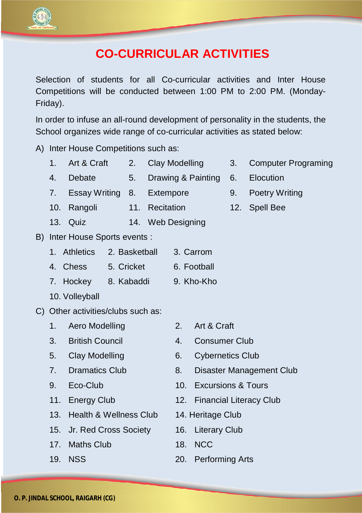

## **CO-CURRICULAR ACTIVITIES**

Selection of students for all Co-curricular activities and Inter House Competitions will be conducted between 1:00 PM to 2:00 PM. (Monday-Friday).

In order to infuse an all-round development of personality in the students, the School organizes wide range of co-curricular activities as stated below:

A) Inter House Competitions such as:

- 1. Art & Craft 2. Clay Modelling 3. Computer Programing
- 4. Debate 5. Drawing & Painting 6. Elocution
- 7. Essay Writing 8. Extempore 9. Poetry Writing
- 10. Rangoli 11. Recitation 12. Spell Bee
- 13. Quiz 14. Web Designing
- B) Inter House Sports events :

|          | 1. Athletics 2. Basketball | 3. Carrom   |
|----------|----------------------------|-------------|
| 4. Chess | 5. Cricket                 | 6. Football |

- 7. Hockey 8. Kabaddi 9. Kho-Kho
- 10. Volleyball
- C) Other activities/clubs such as:
	- 1. Aero Modelling 2. Art & Craft
	- 3. British Council 4. Consumer Club
	-
	-
	-
	-
	- 13. Health & Wellness Club 14. Heritage Club
	- 15. Jr. Red Cross Society 16. Literary Club
	- 17 Maths Club 18. NCC
	-
- 
- 
- 5. Clay Modelling 6. Cybernetics Club
- 7. Dramatics Club 8. Disaster Management Club
- 9. Eco-Club 10. Excursions & Tours
- 11. Energy Club 12. Financial Literacy Club
	-
	-
	-
- 19. NSS 20. Performing Arts
- 
- 
- 
-